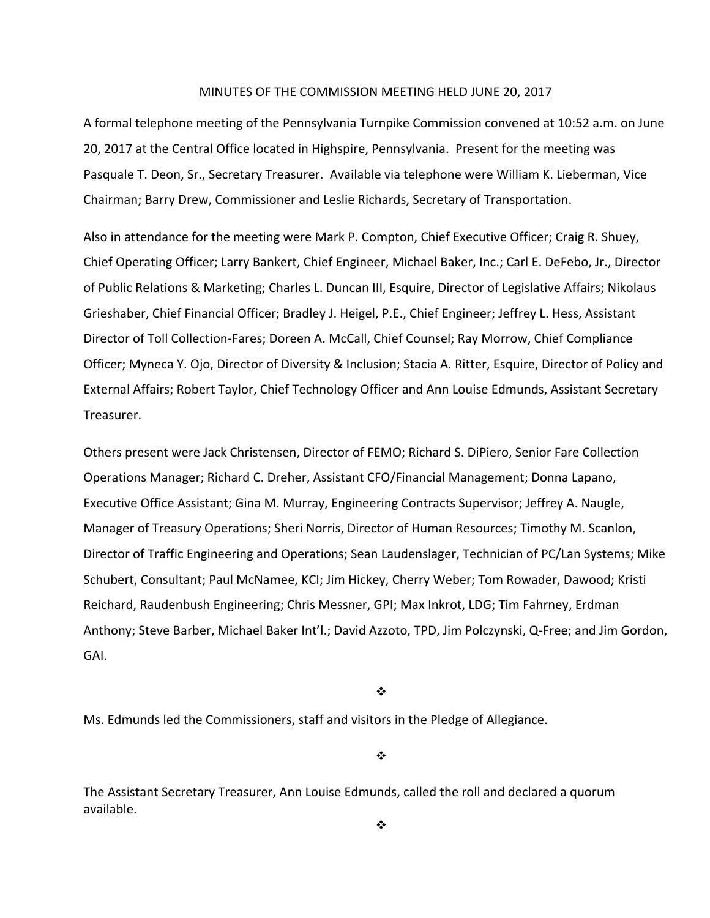#### MINUTES OF THE COMMISSION MEETING HELD JUNE 20, 2017

A formal telephone meeting of the Pennsylvania Turnpike Commission convened at 10:52 a.m. on June 20, 2017 at the Central Office located in Highspire, Pennsylvania. Present for the meeting was Pasquale T. Deon, Sr., Secretary Treasurer. Available via telephone were William K. Lieberman, Vice Chairman; Barry Drew, Commissioner and Leslie Richards, Secretary of Transportation.

Also in attendance for the meeting were Mark P. Compton, Chief Executive Officer; Craig R. Shuey, Chief Operating Officer; Larry Bankert, Chief Engineer, Michael Baker, Inc.; Carl E. DeFebo, Jr., Director of Public Relations & Marketing; Charles L. Duncan III, Esquire, Director of Legislative Affairs; Nikolaus Grieshaber, Chief Financial Officer; Bradley J. Heigel, P.E., Chief Engineer; Jeffrey L. Hess, Assistant Director of Toll Collection‐Fares; Doreen A. McCall, Chief Counsel; Ray Morrow, Chief Compliance Officer; Myneca Y. Ojo, Director of Diversity & Inclusion; Stacia A. Ritter, Esquire, Director of Policy and External Affairs; Robert Taylor, Chief Technology Officer and Ann Louise Edmunds, Assistant Secretary Treasurer.

Others present were Jack Christensen, Director of FEMO; Richard S. DiPiero, Senior Fare Collection Operations Manager; Richard C. Dreher, Assistant CFO/Financial Management; Donna Lapano, Executive Office Assistant; Gina M. Murray, Engineering Contracts Supervisor; Jeffrey A. Naugle, Manager of Treasury Operations; Sheri Norris, Director of Human Resources; Timothy M. Scanlon, Director of Traffic Engineering and Operations; Sean Laudenslager, Technician of PC/Lan Systems; Mike Schubert, Consultant; Paul McNamee, KCI; Jim Hickey, Cherry Weber; Tom Rowader, Dawood; Kristi Reichard, Raudenbush Engineering; Chris Messner, GPI; Max Inkrot, LDG; Tim Fahrney, Erdman Anthony; Steve Barber, Michael Baker Int'l.; David Azzoto, TPD, Jim Polczynski, Q‐Free; and Jim Gordon, GAI.

❖

Ms. Edmunds led the Commissioners, staff and visitors in the Pledge of Allegiance.

❖

The Assistant Secretary Treasurer, Ann Louise Edmunds, called the roll and declared a quorum available.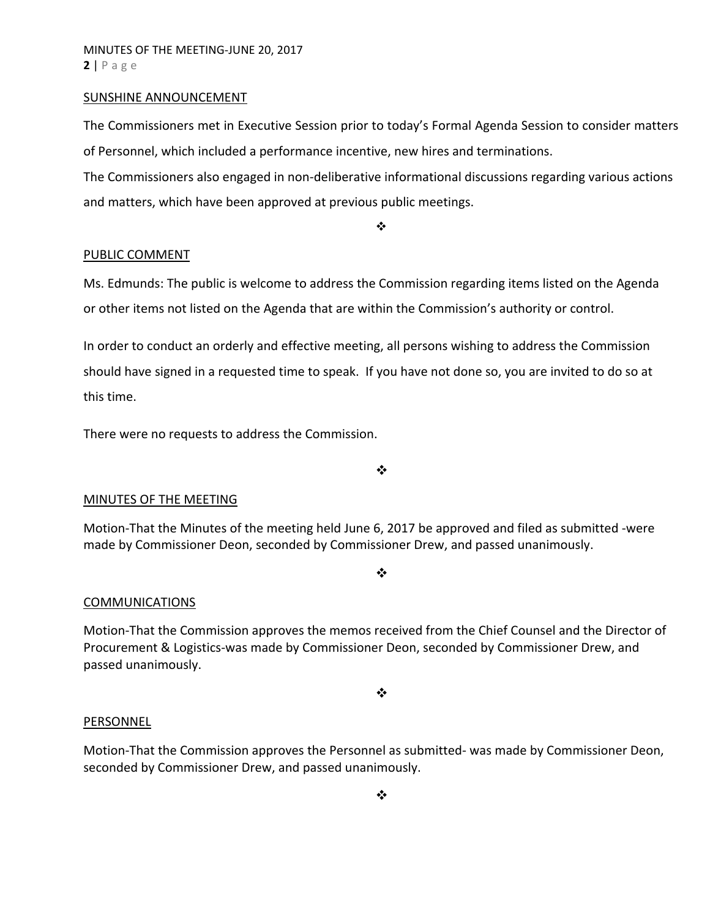#### SUNSHINE ANNOUNCEMENT

The Commissioners met in Executive Session prior to today's Formal Agenda Session to consider matters of Personnel, which included a performance incentive, new hires and terminations.

The Commissioners also engaged in non‐deliberative informational discussions regarding various actions and matters, which have been approved at previous public meetings.

❖

#### PUBLIC COMMENT

Ms. Edmunds: The public is welcome to address the Commission regarding items listed on the Agenda or other items not listed on the Agenda that are within the Commission's authority or control.

In order to conduct an orderly and effective meeting, all persons wishing to address the Commission should have signed in a requested time to speak. If you have not done so, you are invited to do so at this time.

There were no requests to address the Commission.

 $\cdot$ 

## MINUTES OF THE MEETING

Motion‐That the Minutes of the meeting held June 6, 2017 be approved and filed as submitted ‐were made by Commissioner Deon, seconded by Commissioner Drew, and passed unanimously.

#### $\cdot$

## **COMMUNICATIONS**

Motion‐That the Commission approves the memos received from the Chief Counsel and the Director of Procurement & Logistics‐was made by Commissioner Deon, seconded by Commissioner Drew, and passed unanimously.

❖

#### PERSONNEL

Motion‐That the Commission approves the Personnel as submitted‐ was made by Commissioner Deon, seconded by Commissioner Drew, and passed unanimously.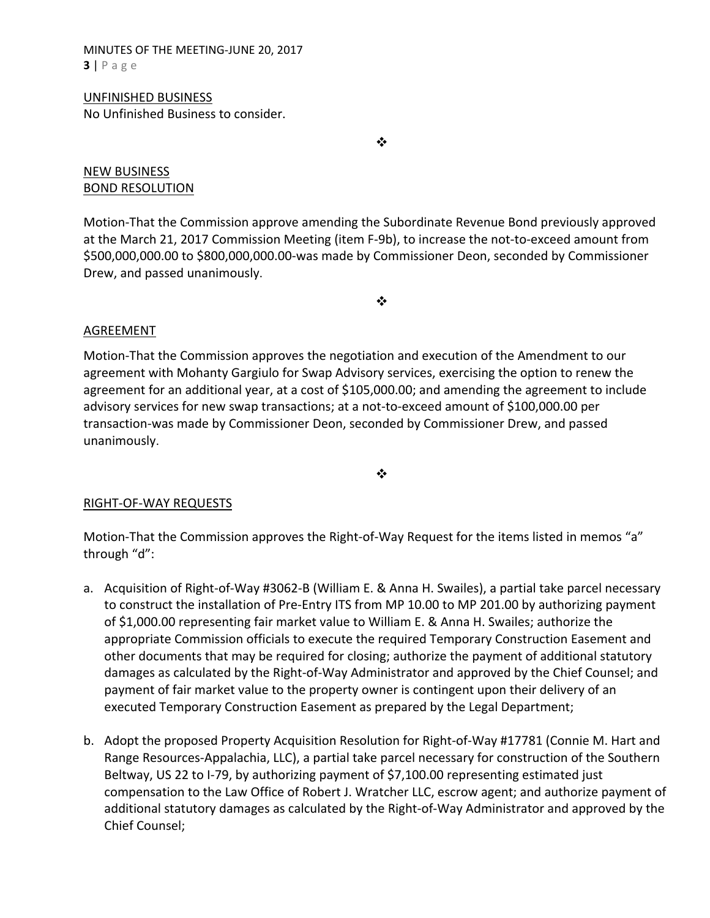#### MINUTES OF THE MEETING‐JUNE 20, 2017 **3** | Page

#### UNFINISHED BUSINESS No Unfinished Business to consider.

 $\frac{1}{2}$ 

## NEW BUSINESS BOND RESOLUTION

Motion‐That the Commission approve amending the Subordinate Revenue Bond previously approved at the March 21, 2017 Commission Meeting (item F‐9b), to increase the not‐to‐exceed amount from \$500,000,000.00 to \$800,000,000.00‐was made by Commissioner Deon, seconded by Commissioner Drew, and passed unanimously.

 $\bullet \bullet$ 

# AGREEMENT

Motion‐That the Commission approves the negotiation and execution of the Amendment to our agreement with Mohanty Gargiulo for Swap Advisory services, exercising the option to renew the agreement for an additional year, at a cost of \$105,000.00; and amending the agreement to include advisory services for new swap transactions; at a not‐to‐exceed amount of \$100,000.00 per transaction‐was made by Commissioner Deon, seconded by Commissioner Drew, and passed unanimously.

❖

# RIGHT‐OF‐WAY REQUESTS

Motion-That the Commission approves the Right-of-Way Request for the items listed in memos "a" through "d":

- a. Acquisition of Right‐of‐Way #3062‐B (William E. & Anna H. Swailes), a partial take parcel necessary to construct the installation of Pre‐Entry ITS from MP 10.00 to MP 201.00 by authorizing payment of \$1,000.00 representing fair market value to William E. & Anna H. Swailes; authorize the appropriate Commission officials to execute the required Temporary Construction Easement and other documents that may be required for closing; authorize the payment of additional statutory damages as calculated by the Right‐of‐Way Administrator and approved by the Chief Counsel; and payment of fair market value to the property owner is contingent upon their delivery of an executed Temporary Construction Easement as prepared by the Legal Department;
- b. Adopt the proposed Property Acquisition Resolution for Right‐of‐Way #17781 (Connie M. Hart and Range Resources‐Appalachia, LLC), a partial take parcel necessary for construction of the Southern Beltway, US 22 to I-79, by authorizing payment of \$7,100.00 representing estimated just compensation to the Law Office of Robert J. Wratcher LLC, escrow agent; and authorize payment of additional statutory damages as calculated by the Right‐of‐Way Administrator and approved by the Chief Counsel;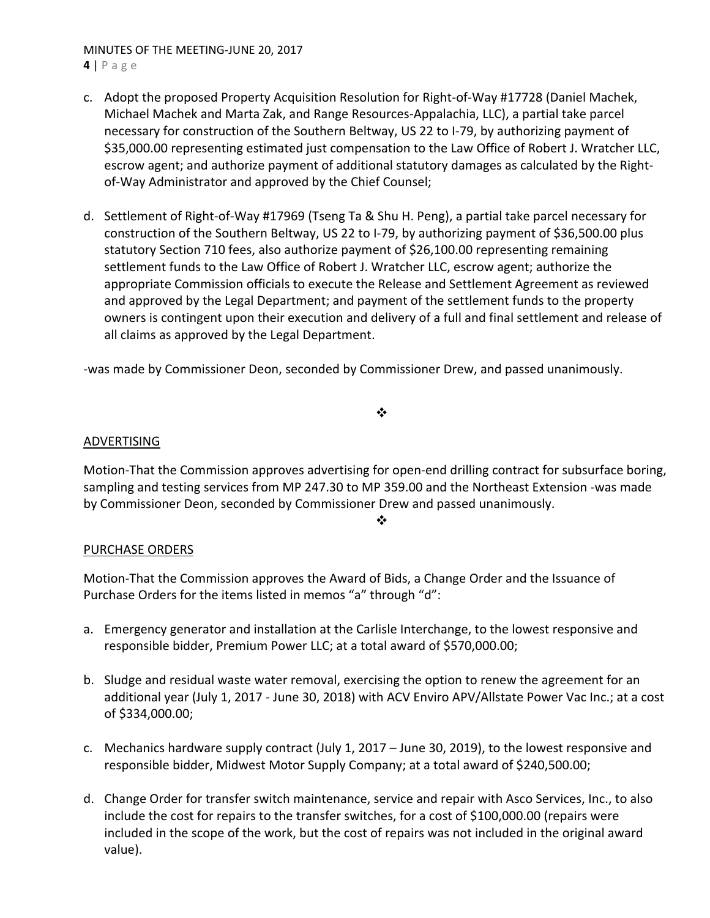MINUTES OF THE MEETING‐JUNE 20, 2017

**4** | Page

- c. Adopt the proposed Property Acquisition Resolution for Right‐of‐Way #17728 (Daniel Machek, Michael Machek and Marta Zak, and Range Resources‐Appalachia, LLC), a partial take parcel necessary for construction of the Southern Beltway, US 22 to I‐79, by authorizing payment of \$35,000.00 representing estimated just compensation to the Law Office of Robert J. Wratcher LLC, escrow agent; and authorize payment of additional statutory damages as calculated by the Right‐ of‐Way Administrator and approved by the Chief Counsel;
- d. Settlement of Right‐of‐Way #17969 (Tseng Ta & Shu H. Peng), a partial take parcel necessary for construction of the Southern Beltway, US 22 to I‐79, by authorizing payment of \$36,500.00 plus statutory Section 710 fees, also authorize payment of \$26,100.00 representing remaining settlement funds to the Law Office of Robert J. Wratcher LLC, escrow agent; authorize the appropriate Commission officials to execute the Release and Settlement Agreement as reviewed and approved by the Legal Department; and payment of the settlement funds to the property owners is contingent upon their execution and delivery of a full and final settlement and release of all claims as approved by the Legal Department.

‐was made by Commissioner Deon, seconded by Commissioner Drew, and passed unanimously.

 $\cdot$ 

## ADVERTISING

Motion‐That the Commission approves advertising for open‐end drilling contract for subsurface boring, sampling and testing services from MP 247.30 to MP 359.00 and the Northeast Extension ‐was made by Commissioner Deon, seconded by Commissioner Drew and passed unanimously.

 $\bullet^*$ 

# PURCHASE ORDERS

Motion‐That the Commission approves the Award of Bids, a Change Order and the Issuance of Purchase Orders for the items listed in memos "a" through "d":

- a. Emergency generator and installation at the Carlisle Interchange, to the lowest responsive and responsible bidder, Premium Power LLC; at a total award of \$570,000.00;
- b. Sludge and residual waste water removal, exercising the option to renew the agreement for an additional year (July 1, 2017 ‐ June 30, 2018) with ACV Enviro APV/Allstate Power Vac Inc.; at a cost of \$334,000.00;
- c. Mechanics hardware supply contract (July 1, 2017 June 30, 2019), to the lowest responsive and responsible bidder, Midwest Motor Supply Company; at a total award of \$240,500.00;
- d. Change Order for transfer switch maintenance, service and repair with Asco Services, Inc., to also include the cost for repairs to the transfer switches, for a cost of \$100,000.00 (repairs were included in the scope of the work, but the cost of repairs was not included in the original award value).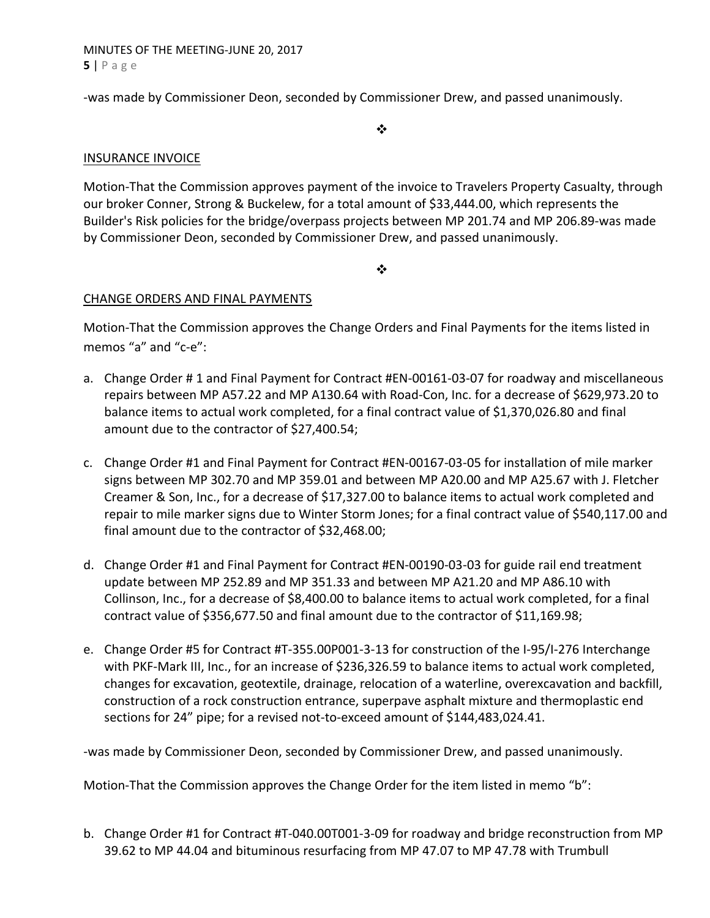## MINUTES OF THE MEETING‐JUNE 20, 2017 **5** | Page

‐was made by Commissioner Deon, seconded by Commissioner Drew, and passed unanimously.

 $\frac{1}{2}$ 

## INSURANCE INVOICE

Motion‐That the Commission approves payment of the invoice to Travelers Property Casualty, through our broker Conner, Strong & Buckelew, for a total amount of \$33,444.00, which represents the Builder's Risk policies for the bridge/overpass projects between MP 201.74 and MP 206.89‐was made by Commissioner Deon, seconded by Commissioner Drew, and passed unanimously.

 $\cdot$ 

## CHANGE ORDERS AND FINAL PAYMENTS

Motion‐That the Commission approves the Change Orders and Final Payments for the items listed in memos "a" and "c-e":

- a. Change Order # 1 and Final Payment for Contract #EN‐00161‐03‐07 for roadway and miscellaneous repairs between MP A57.22 and MP A130.64 with Road‐Con, Inc. for a decrease of \$629,973.20 to balance items to actual work completed, for a final contract value of \$1,370,026.80 and final amount due to the contractor of \$27,400.54;
- c. Change Order #1 and Final Payment for Contract #EN‐00167‐03‐05 for installation of mile marker signs between MP 302.70 and MP 359.01 and between MP A20.00 and MP A25.67 with J. Fletcher Creamer & Son, Inc., for a decrease of \$17,327.00 to balance items to actual work completed and repair to mile marker signs due to Winter Storm Jones; for a final contract value of \$540,117.00 and final amount due to the contractor of \$32,468.00;
- d. Change Order #1 and Final Payment for Contract #EN‐00190‐03‐03 for guide rail end treatment update between MP 252.89 and MP 351.33 and between MP A21.20 and MP A86.10 with Collinson, Inc., for a decrease of \$8,400.00 to balance items to actual work completed, for a final contract value of \$356,677.50 and final amount due to the contractor of \$11,169.98;
- e. Change Order #5 for Contract #T‐355.00P001‐3‐13 for construction of the I‐95/I‐276 Interchange with PKF‐Mark III, Inc., for an increase of \$236,326.59 to balance items to actual work completed, changes for excavation, geotextile, drainage, relocation of a waterline, overexcavation and backfill, construction of a rock construction entrance, superpave asphalt mixture and thermoplastic end sections for 24" pipe; for a revised not-to-exceed amount of \$144,483,024.41.

‐was made by Commissioner Deon, seconded by Commissioner Drew, and passed unanimously.

Motion-That the Commission approves the Change Order for the item listed in memo "b":

b. Change Order #1 for Contract #T‐040.00T001‐3‐09 for roadway and bridge reconstruction from MP 39.62 to MP 44.04 and bituminous resurfacing from MP 47.07 to MP 47.78 with Trumbull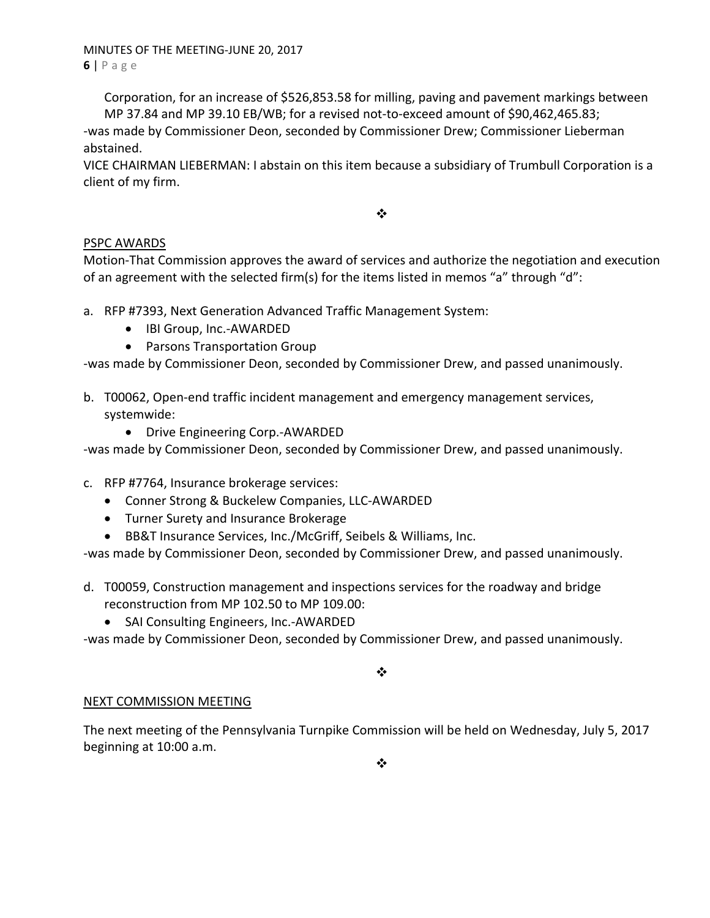MINUTES OF THE MEETING‐JUNE 20, 2017 **6** | Page

Corporation, for an increase of \$526,853.58 for milling, paving and pavement markings between MP 37.84 and MP 39.10 EB/WB; for a revised not‐to‐exceed amount of \$90,462,465.83;

‐was made by Commissioner Deon, seconded by Commissioner Drew; Commissioner Lieberman abstained.

VICE CHAIRMAN LIEBERMAN: I abstain on this item because a subsidiary of Trumbull Corporation is a client of my firm.

❖

# PSPC AWARDS

Motion‐That Commission approves the award of services and authorize the negotiation and execution of an agreement with the selected firm(s) for the items listed in memos "a" through "d":

- a. RFP #7393, Next Generation Advanced Traffic Management System:
	- IBI Group, Inc.-AWARDED
	- Parsons Transportation Group

‐was made by Commissioner Deon, seconded by Commissioner Drew, and passed unanimously.

- b. T00062, Open‐end traffic incident management and emergency management services, systemwide:
	- Drive Engineering Corp.-AWARDED

‐was made by Commissioner Deon, seconded by Commissioner Drew, and passed unanimously.

- c. RFP #7764, Insurance brokerage services:
	- Conner Strong & Buckelew Companies, LLC-AWARDED
	- Turner Surety and Insurance Brokerage
	- BB&T Insurance Services, Inc./McGriff, Seibels & Williams, Inc.

‐was made by Commissioner Deon, seconded by Commissioner Drew, and passed unanimously.

- d. T00059, Construction management and inspections services for the roadway and bridge reconstruction from MP 102.50 to MP 109.00:
	- SAI Consulting Engineers, Inc.-AWARDED

‐was made by Commissioner Deon, seconded by Commissioner Drew, and passed unanimously.

 $\bullet^{\bullet}_{\bullet} \bullet$ 

# NEXT COMMISSION MEETING

The next meeting of the Pennsylvania Turnpike Commission will be held on Wednesday, July 5, 2017 beginning at 10:00 a.m.